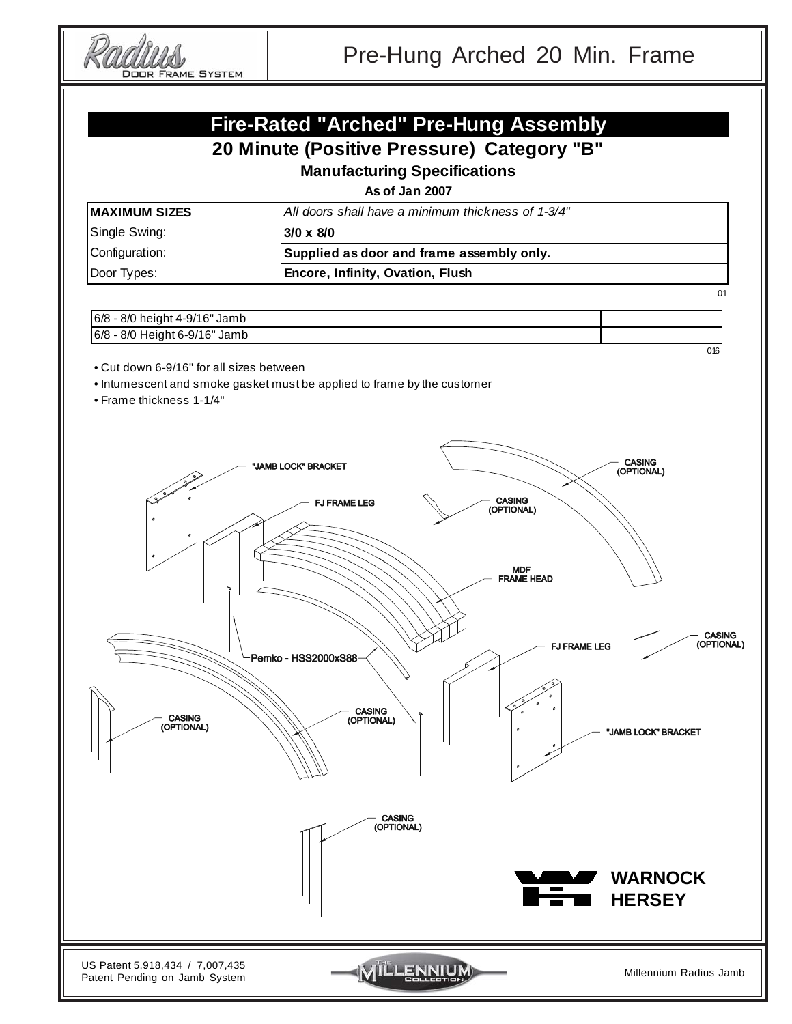**DOOR FRAME SYSTEM** 

## **Fire-Rated "Arched" Pre-Hung Assembly**

### **20 Minute (Positive Pressure) Category "B"**

**Manufacturing Specifications**

**As of Jan 2007**

All doors shall have a minimum thickness of 1-3/4"

| <b>MAXIMUM SIZES</b> |  |
|----------------------|--|
|----------------------|--|

Single Swing: **3/0 x 8/0**

Configuration: **Supplied as door and frame assembly only.**

Door Types: **Encore, Infinity, Ovation, Flush**

01

#### 6/8 - 8/0 height 4-9/16" Jamb 6/8 - 8/0 Height 6-9/16" Jamb

016

• Cut down 6-9/16" for all sizes between

- Intumescent and smoke gasket must be applied to frame by the customer
- Frame thickness 1-1/4"